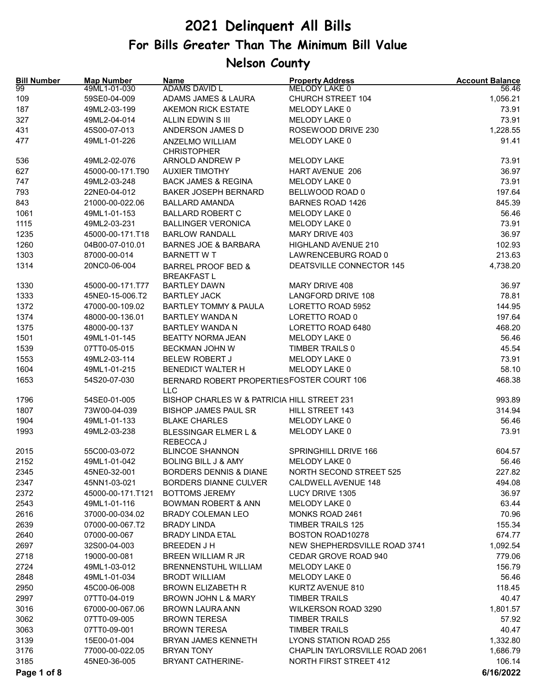| <b>Bill Number</b><br>99 | <b>Map Number</b><br>49ML1-01-030 | <b>Name</b><br>ADAMS DAVID L                              | <b>Property Address</b><br>MELODY LAKE 0 | <b>Account Balance</b><br>56.46 |
|--------------------------|-----------------------------------|-----------------------------------------------------------|------------------------------------------|---------------------------------|
| 109                      | 59SE0-04-009                      | ADAMS JAMES & LAURA                                       | <b>CHURCH STREET 104</b>                 | 1,056.21                        |
| 187                      | 49ML2-03-199                      | AKEMON RICK ESTATE                                        | MELODY LAKE 0                            | 73.91                           |
| 327                      | 49ML2-04-014                      | ALLIN EDWIN S III                                         | MELODY LAKE 0                            | 73.91                           |
| 431                      | 45S00-07-013                      | ANDERSON JAMES D                                          | ROSEWOOD DRIVE 230                       | 1,228.55                        |
| 477                      | 49ML1-01-226                      | ANZELMO WILLIAM                                           | MELODY LAKE 0                            | 91.41                           |
| 536                      | 49ML2-02-076                      | <b>CHRISTOPHER</b><br>ARNOLD ANDREW P                     | <b>MELODY LAKE</b>                       | 73.91                           |
| 627                      | 45000-00-171.T90                  | <b>AUXIER TIMOTHY</b>                                     | <b>HART AVENUE 206</b>                   | 36.97                           |
| 747                      | 49ML2-03-248                      | <b>BACK JAMES &amp; REGINA</b>                            | MELODY LAKE 0                            | 73.91                           |
| 793                      | 22NE0-04-012                      | <b>BAKER JOSEPH BERNARD</b>                               | BELLWOOD ROAD 0                          | 197.64                          |
| 843                      | 21000-00-022.06                   | <b>BALLARD AMANDA</b>                                     | <b>BARNES ROAD 1426</b>                  | 845.39                          |
| 1061                     | 49ML1-01-153                      | <b>BALLARD ROBERT C</b>                                   | MELODY LAKE 0                            | 56.46                           |
| 1115                     | 49ML2-03-231                      | <b>BALLINGER VERONICA</b>                                 | MELODY LAKE 0                            | 73.91                           |
| 1235                     | 45000-00-171.T18                  | <b>BARLOW RANDALL</b>                                     | MARY DRIVE 403                           | 36.97                           |
| 1260                     | 04B00-07-010.01                   | <b>BARNES JOE &amp; BARBARA</b>                           | <b>HIGHLAND AVENUE 210</b>               | 102.93                          |
| 1303                     | 87000-00-014                      | <b>BARNETT WT</b>                                         | LAWRENCEBURG ROAD 0                      | 213.63                          |
| 1314                     | 20NC0-06-004                      | <b>BARREL PROOF BED &amp;</b>                             | DEATSVILLE CONNECTOR 145                 | 4,738.20                        |
|                          |                                   | <b>BREAKFAST L</b>                                        |                                          |                                 |
| 1330                     | 45000-00-171.T77                  | <b>BARTLEY DAWN</b>                                       | MARY DRIVE 408                           | 36.97                           |
| 1333                     | 45NE0-15-006.T2                   | <b>BARTLEY JACK</b>                                       | <b>LANGFORD DRIVE 108</b>                | 78.81                           |
| 1372                     | 47000-00-109.02                   | <b>BARTLEY TOMMY &amp; PAULA</b>                          | LORETTO ROAD 5952                        | 144.95                          |
| 1374                     | 48000-00-136.01                   | <b>BARTLEY WANDA N</b>                                    | LORETTO ROAD 0                           | 197.64                          |
| 1375                     | 48000-00-137                      | <b>BARTLEY WANDA N</b>                                    | LORETTO ROAD 6480                        | 468.20                          |
| 1501                     | 49ML1-01-145                      | <b>BEATTY NORMA JEAN</b>                                  | MELODY LAKE 0                            | 56.46                           |
| 1539                     | 07TT0-05-015                      | BECKMAN JOHN W                                            | TIMBER TRAILS 0                          | 45.54                           |
| 1553                     | 49ML2-03-114                      | <b>BELEW ROBERT J</b>                                     | MELODY LAKE 0                            | 73.91                           |
| 1604                     | 49ML1-01-215                      | <b>BENEDICT WALTER H</b>                                  | MELODY LAKE 0                            | 58.10                           |
| 1653                     | 54S20-07-030                      | BERNARD ROBERT PROPERTIESFOSTER COURT 106                 |                                          | 468.38                          |
| 1796                     | 54SE0-01-005                      | <b>LLC</b><br>BISHOP CHARLES W & PATRICIA HILL STREET 231 |                                          | 993.89                          |
| 1807                     | 73W00-04-039                      | <b>BISHOP JAMES PAUL SR</b>                               | HILL STREET 143                          | 314.94                          |
| 1904                     | 49ML1-01-133                      | <b>BLAKE CHARLES</b>                                      | MELODY LAKE 0                            | 56.46                           |
| 1993                     | 49ML2-03-238                      | BLESSINGAR ELMER L &                                      | MELODY LAKE 0                            | 73.91                           |
|                          |                                   | REBECCA J                                                 |                                          |                                 |
| 2015                     | 55C00-03-072                      | <b>BLINCOE SHANNON</b>                                    | <b>SPRINGHILL DRIVE 166</b>              | 604.57                          |
| 2152                     | 49ML1-01-042                      | <b>BOLING BILL J &amp; AMY</b>                            | MELODY LAKE 0                            | 56.46                           |
| 2345                     | 45NE0-32-001                      | <b>BORDERS DENNIS &amp; DIANE</b>                         | NORTH SECOND STREET 525                  | 227.82                          |
| 2347                     | 45NN1-03-021                      | <b>BORDERS DIANNE CULVER</b>                              | CALDWELL AVENUE 148                      | 494.08                          |
| 2372                     | 45000-00-171.T121                 | <b>BOTTOMS JEREMY</b>                                     | LUCY DRIVE 1305                          | 36.97                           |
| 2543                     | 49ML1-01-116                      | <b>BOWMAN ROBERT &amp; ANN</b>                            | MELODY LAKE 0                            | 63.44                           |
| 2616                     | 37000-00-034.02                   | <b>BRADY COLEMAN LEO</b>                                  | MONKS ROAD 2461                          | 70.96                           |
| 2639                     | 07000-00-067.T2                   | <b>BRADY LINDA</b>                                        | <b>TIMBER TRAILS 125</b>                 | 155.34                          |
| 2640                     | 07000-00-067                      | <b>BRADY LINDA ETAL</b>                                   | BOSTON ROAD10278                         | 674.77                          |
| 2697                     | 32S00-04-003                      | <b>BREEDEN J H</b>                                        | NEW SHEPHERDSVILLE ROAD 3741             | 1,092.54                        |
| 2718                     | 19000-00-081                      | <b>BREEN WILLIAM R JR</b>                                 | CEDAR GROVE ROAD 940                     | 779.06                          |
| 2724                     | 49ML1-03-012                      | BRENNENSTUHL WILLIAM                                      | MELODY LAKE 0                            | 156.79                          |
| 2848                     | 49ML1-01-034                      | <b>BRODT WILLIAM</b>                                      | MELODY LAKE 0                            | 56.46                           |
| 2950                     | 45C00-06-008                      | <b>BROWN ELIZABETH R</b>                                  | KURTZ AVENUE 810                         | 118.45                          |
| 2997                     | 07TT0-04-019                      | BROWN JOHN L & MARY                                       | <b>TIMBER TRAILS</b>                     | 40.47                           |
| 3016                     | 67000-00-067.06                   | <b>BROWN LAURA ANN</b>                                    | WILKERSON ROAD 3290                      | 1,801.57                        |
| 3062                     | 07TT0-09-005                      | <b>BROWN TERESA</b>                                       | <b>TIMBER TRAILS</b>                     | 57.92                           |
| 3063                     | 07TT0-09-001                      | <b>BROWN TERESA</b>                                       | <b>TIMBER TRAILS</b>                     | 40.47                           |
| 3139                     | 15E00-01-004                      | BRYAN JAMES KENNETH                                       | LYONS STATION ROAD 255                   | 1,332.80                        |
| 3176                     | 77000-00-022.05                   | <b>BRYAN TONY</b>                                         | CHAPLIN TAYLORSVILLE ROAD 2061           | 1,686.79                        |
| 3185                     | 45NE0-36-005                      | <b>BRYANT CATHERINE-</b>                                  | <b>NORTH FIRST STREET 412</b>            | 106.14                          |
| Page 1 of 8              |                                   |                                                           |                                          | 6/16/2022                       |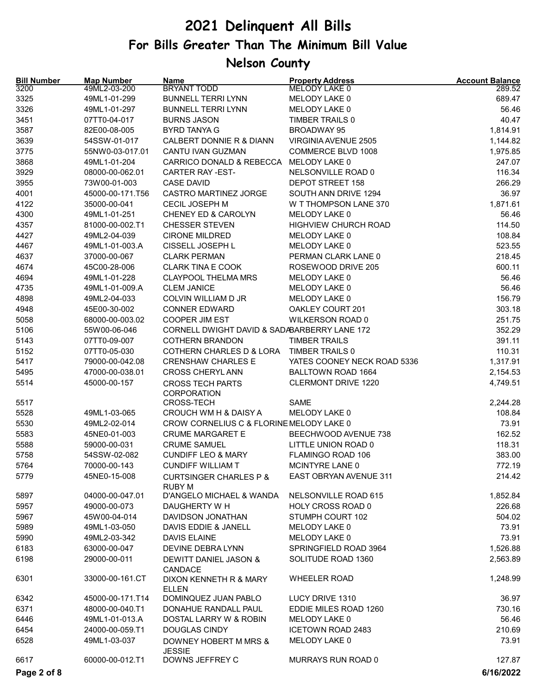| <b>Bill Number</b> | <b>Map Number</b> | <b>Name</b>                                        | <b>Property Address</b>     | <b>Account Balance</b> |
|--------------------|-------------------|----------------------------------------------------|-----------------------------|------------------------|
| 3200               | 49ML2-03-200      | <b>BRYANT TODD</b>                                 | MELODY LAKE 0               | 289.52                 |
| 3325               | 49ML1-01-299      | <b>BUNNELL TERRI LYNN</b>                          | MELODY LAKE 0               | 689.47                 |
| 3326               | 49ML1-01-297      | <b>BUNNELL TERRI LYNN</b>                          | MELODY LAKE 0               | 56.46                  |
| 3451               | 07TT0-04-017      | <b>BURNS JASON</b>                                 | TIMBER TRAILS 0             | 40.47                  |
| 3587               | 82E00-08-005      | <b>BYRD TANYA G</b>                                | <b>BROADWAY 95</b>          | 1,814.91               |
| 3639               | 54SSW-01-017      | CALBERT DONNIE R & DIANN                           | VIRGINIA AVENUE 2505        | 1,144.82               |
| 3775               | 55NW0-03-017.01   | CANTU IVAN GUZMAN                                  | COMMERCE BLVD 1008          | 1,975.85               |
| 3868               | 49ML1-01-204      | CARRICO DONALD & REBECCA                           | MELODY LAKE 0               | 247.07                 |
| 3929               | 08000-00-062.01   | CARTER RAY-EST-                                    | NELSONVILLE ROAD 0          | 116.34                 |
| 3955               | 73W00-01-003      | <b>CASE DAVID</b>                                  | DEPOT STREET 158            | 266.29                 |
| 4001               | 45000-00-171.T56  | <b>CASTRO MARTINEZ JORGE</b>                       | SOUTH ANN DRIVE 1294        | 36.97                  |
| 4122               | 35000-00-041      | <b>CECIL JOSEPH M</b>                              | W T THOMPSON LANE 370       | 1,871.61               |
| 4300               | 49ML1-01-251      | CHENEY ED & CAROLYN                                | MELODY LAKE 0               | 56.46                  |
| 4357               | 81000-00-002.T1   | <b>CHESSER STEVEN</b>                              | <b>HIGHVIEW CHURCH ROAD</b> | 114.50                 |
| 4427               | 49ML2-04-039      | <b>CIRONE MILDRED</b>                              | MELODY LAKE 0               | 108.84                 |
| 4467               | 49ML1-01-003.A    | CISSELL JOSEPH L                                   | MELODY LAKE 0               | 523.55                 |
| 4637               | 37000-00-067      | <b>CLARK PERMAN</b>                                | PERMAN CLARK LANE 0         | 218.45                 |
| 4674               | 45C00-28-006      | <b>CLARK TINA E COOK</b>                           | ROSEWOOD DRIVE 205          | 600.11                 |
| 4694               | 49ML1-01-228      | <b>CLAYPOOL THELMA MRS</b>                         | MELODY LAKE 0               | 56.46                  |
| 4735               | 49ML1-01-009.A    | <b>CLEM JANICE</b>                                 | MELODY LAKE 0               | 56.46                  |
| 4898               | 49ML2-04-033      | COLVIN WILLIAM D JR                                | MELODY LAKE 0               | 156.79                 |
| 4948               | 45E00-30-002      | <b>CONNER EDWARD</b>                               | OAKLEY COURT 201            | 303.18                 |
| 5058               | 68000-00-003.02   | <b>COOPER JIM EST</b>                              | WILKERSON ROAD 0            | 251.75                 |
| 5106               | 55W00-06-046      | CORNELL DWIGHT DAVID & SADABARBERRY LANE 172       |                             | 352.29                 |
| 5143               | 07TT0-09-007      | <b>COTHERN BRANDON</b>                             | <b>TIMBER TRAILS</b>        | 391.11                 |
| 5152               | 07TT0-05-030      | COTHERN CHARLES D & LORA                           | TIMBER TRAILS 0             | 110.31                 |
| 5417               | 79000-00-042.08   | <b>CRENSHAW CHARLES E</b>                          | YATES COONEY NECK ROAD 5336 | 1,317.91               |
| 5495               | 47000-00-038.01   | <b>CROSS CHERYL ANN</b>                            | BALLTOWN ROAD 1664          | 2,154.53               |
| 5514               | 45000-00-157      | <b>CROSS TECH PARTS</b><br>CORPORATION             | CLERMONT DRIVE 1220         | 4,749.51               |
| 5517               |                   | <b>CROSS-TECH</b>                                  | <b>SAME</b>                 | 2,244.28               |
| 5528               | 49ML1-03-065      | CROUCH WM H & DAISY A                              | MELODY LAKE 0               | 108.84                 |
| 5530               | 49ML2-02-014      | CROW CORNELIUS C & FLORINE MELODY LAKE 0           |                             | 73.91                  |
| 5583               | 45NE0-01-003      | <b>CRUME MARGARET E</b>                            | BEECHWOOD AVENUE 738        | 162.52                 |
| 5588               | 59000-00-031      | <b>CRUME SAMUEL</b>                                | LITTLE UNION ROAD 0         | 118.31                 |
| 5758               | 54SSW-02-082      | <b>CUNDIFF LEO &amp; MARY</b>                      | FLAMINGO ROAD 106           | 383.00                 |
| 5764               | 70000-00-143      | CUNDIFF WILLIAM T                                  | MCINTYRE LANE 0             | 772.19                 |
| 5779               | 45NE0-15-008      | <b>CURTSINGER CHARLES P &amp;</b><br><b>RUBY M</b> | EAST OBRYAN AVENUE 311      | 214.42                 |
| 5897               | 04000-00-047.01   | D'ANGELO MICHAEL & WANDA                           | NELSONVILLE ROAD 615        | 1,852.84               |
| 5957               | 49000-00-073      | DAUGHERTY W H                                      | HOLY CROSS ROAD 0           | 226.68                 |
| 5967               | 45W00-04-014      | DAVIDSON JONATHAN                                  | STUMPH COURT 102            | 504.02                 |
| 5989               | 49ML1-03-050      | DAVIS EDDIE & JANELL                               | MELODY LAKE 0               | 73.91                  |
| 5990               | 49ML2-03-342      | <b>DAVIS ELAINE</b>                                | MELODY LAKE 0               | 73.91                  |
| 6183               | 63000-00-047      | DEVINE DEBRA LYNN                                  | SPRINGFIELD ROAD 3964       | 1,526.88               |
| 6198               | 29000-00-011      | DEWITT DANIEL JASON &                              | SOLITUDE ROAD 1360          | 2,563.89               |
| 6301               | 33000-00-161.CT   | CANDACE<br>DIXON KENNETH R & MARY                  | <b>WHEELER ROAD</b>         | 1,248.99               |
|                    |                   | <b>ELLEN</b>                                       |                             |                        |
| 6342               | 45000-00-171.T14  | DOMINQUEZ JUAN PABLO                               | LUCY DRIVE 1310             | 36.97                  |
| 6371               | 48000-00-040.T1   | DONAHUE RANDALL PAUL                               | EDDIE MILES ROAD 1260       | 730.16                 |
| 6446               | 49ML1-01-013.A    | DOSTAL LARRY W & ROBIN                             | MELODY LAKE 0               | 56.46                  |
| 6454               | 24000-00-059.T1   | <b>DOUGLAS CINDY</b>                               | <b>ICETOWN ROAD 2483</b>    | 210.69                 |
| 6528               | 49ML1-03-037      | DOWNEY HOBERT M MRS &<br><b>JESSIE</b>             | MELODY LAKE 0               | 73.91                  |
| 6617               | 60000-00-012.T1   | DOWNS JEFFREY C                                    | MURRAYS RUN ROAD 0          | 127.87                 |
| Page 2 of 8        |                   |                                                    |                             | 6/16/2022              |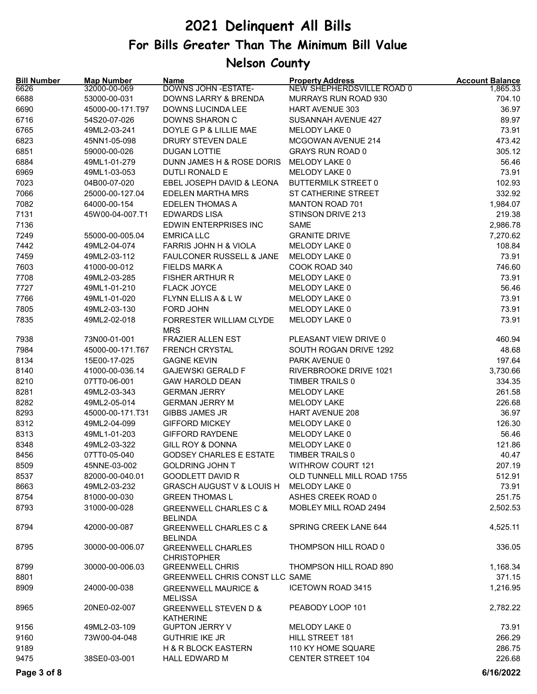| <b>Bill Number</b><br>6626 | <b>Map Number</b><br>32000-00-069 | <b>Name</b><br>DOWNS JOHN - ESTATE-                 | <b>Property Address</b><br>NEW SHEPHERDSVILLE ROAD 0 | <b>Account Balance</b><br>1,865.33 |
|----------------------------|-----------------------------------|-----------------------------------------------------|------------------------------------------------------|------------------------------------|
| 6688                       | 53000-00-031                      | DOWNS LARRY & BRENDA                                | MURRAYS RUN ROAD 930                                 | 704.10                             |
| 6690                       | 45000-00-171.T97                  | DOWNS LUCINDA LEE                                   | <b>HART AVENUE 303</b>                               | 36.97                              |
| 6716                       | 54S20-07-026                      | DOWNS SHARON C                                      | SUSANNAH AVENUE 427                                  | 89.97                              |
| 6765                       | 49ML2-03-241                      | DOYLE G P & LILLIE MAE                              | MELODY LAKE 0                                        | 73.91                              |
| 6823                       | 45NN1-05-098                      | DRURY STEVEN DALE                                   | MCGOWAN AVENUE 214                                   | 473.42                             |
| 6851                       | 59000-00-026                      | <b>DUGAN LOTTIE</b>                                 | <b>GRAYS RUN ROAD 0</b>                              | 305.12                             |
| 6884                       | 49ML1-01-279                      | DUNN JAMES H & ROSE DORIS                           | MELODY LAKE 0                                        | 56.46                              |
| 6969                       | 49ML1-03-053                      | DUTLI RONALD E                                      | MELODY LAKE 0                                        | 73.91                              |
| 7023                       | 04B00-07-020                      | EBEL JOSEPH DAVID & LEONA                           | <b>BUTTERMILK STREET 0</b>                           | 102.93                             |
| 7066                       | 25000-00-127.04                   | <b>EDELEN MARTHA MRS</b>                            | ST CATHERINE STREET                                  | 332.92                             |
| 7082                       | 64000-00-154                      | <b>EDELEN THOMAS A</b>                              | <b>MANTON ROAD 701</b>                               | 1,984.07                           |
| 7131                       | 45W00-04-007.T1                   | <b>EDWARDS LISA</b>                                 | STINSON DRIVE 213                                    | 219.38                             |
| 7136                       |                                   | EDWIN ENTERPRISES INC                               | <b>SAME</b>                                          | 2,986.78                           |
| 7249                       | 55000-00-005.04                   | <b>EMRICA LLC</b>                                   | <b>GRANITE DRIVE</b>                                 | 7,270.62                           |
| 7442                       | 49ML2-04-074                      | FARRIS JOHN H & VIOLA                               | MELODY LAKE 0                                        | 108.84                             |
| 7459                       | 49ML2-03-112                      | FAULCONER RUSSELL & JANE                            | MELODY LAKE 0                                        | 73.91                              |
| 7603                       | 41000-00-012                      | <b>FIELDS MARK A</b>                                | COOK ROAD 340                                        | 746.60                             |
| 7708                       | 49ML2-03-285                      | <b>FISHER ARTHUR R</b>                              | MELODY LAKE 0                                        | 73.91                              |
| 7727                       | 49ML1-01-210                      | <b>FLACK JOYCE</b>                                  | MELODY LAKE 0                                        | 56.46                              |
| 7766                       | 49ML1-01-020                      | FLYNN ELLIS A & L W                                 | MELODY LAKE 0                                        | 73.91                              |
| 7805                       | 49ML2-03-130                      | FORD JOHN                                           | MELODY LAKE 0                                        | 73.91                              |
| 7835                       | 49ML2-02-018                      |                                                     | MELODY LAKE 0                                        | 73.91                              |
|                            |                                   | FORRESTER WILLIAM CLYDE<br><b>MRS</b>               |                                                      |                                    |
| 7938                       | 73N00-01-001                      | <b>FRAZIER ALLEN EST</b>                            | PLEASANT VIEW DRIVE 0                                | 460.94                             |
| 7984                       | 45000-00-171.T67                  | <b>FRENCH CRYSTAL</b>                               | SOUTH ROGAN DRIVE 1292                               | 48.68                              |
| 8134                       | 15E00-17-025                      | <b>GAGNE KEVIN</b>                                  | PARK AVENUE 0                                        | 197.64                             |
| 8140                       | 41000-00-036.14                   | <b>GAJEWSKI GERALD F</b>                            | RIVERBROOKE DRIVE 1021                               | 3,730.66                           |
| 8210                       | 07TT0-06-001                      | <b>GAW HAROLD DEAN</b>                              | TIMBER TRAILS 0                                      | 334.35                             |
| 8281                       | 49ML2-03-343                      | <b>GERMAN JERRY</b>                                 | <b>MELODY LAKE</b>                                   | 261.58                             |
| 8282                       | 49ML2-05-014                      | <b>GERMAN JERRY M</b>                               | <b>MELODY LAKE</b>                                   | 226.68                             |
| 8293                       | 45000-00-171.T31                  | <b>GIBBS JAMES JR</b>                               | <b>HART AVENUE 208</b>                               | 36.97                              |
| 8312                       | 49ML2-04-099                      | <b>GIFFORD MICKEY</b>                               | MELODY LAKE 0                                        | 126.30                             |
| 8313                       | 49ML1-01-203                      | <b>GIFFORD RAYDENE</b>                              | MELODY LAKE 0                                        | 56.46                              |
| 8348                       | 49ML2-03-322                      | <b>GILL ROY &amp; DONNA</b>                         | MELODY LAKE 0                                        | 121.86                             |
| 8456                       | 07TT0-05-040                      | <b>GODSEY CHARLES E ESTATE</b>                      | TIMBER TRAILS 0                                      | 40.47                              |
| 8509                       | 45NNE-03-002                      | <b>GOLDRING JOHN T</b>                              | <b>WITHROW COURT 121</b>                             | 207.19                             |
| 8537                       | 82000-00-040.01                   | <b>GOODLETT DAVID R</b>                             | OLD TUNNELL MILL ROAD 1755                           | 512.91                             |
| 8663                       | 49ML2-03-232                      | <b>GRASCH AUGUST V &amp; LOUIS H</b>                | MELODY LAKE 0                                        | 73.91                              |
| 8754                       | 81000-00-030                      | <b>GREEN THOMAS L</b>                               | ASHES CREEK ROAD 0                                   | 251.75                             |
| 8793                       | 31000-00-028                      | <b>GREENWELL CHARLES C &amp;</b><br><b>BELINDA</b>  | MOBLEY MILL ROAD 2494                                | 2,502.53                           |
| 8794                       | 42000-00-087                      | <b>GREENWELL CHARLES C &amp;</b><br><b>BELINDA</b>  | SPRING CREEK LANE 644                                | 4,525.11                           |
| 8795                       | 30000-00-006.07                   | <b>GREENWELL CHARLES</b><br><b>CHRISTOPHER</b>      | THOMPSON HILL ROAD 0                                 | 336.05                             |
| 8799                       | 30000-00-006.03                   | <b>GREENWELL CHRIS</b>                              | THOMPSON HILL ROAD 890                               | 1,168.34                           |
| 8801                       |                                   | GREENWELL CHRIS CONST LLC SAME                      |                                                      | 371.15                             |
| 8909                       | 24000-00-038                      | <b>GREENWELL MAURICE &amp;</b><br><b>MELISSA</b>    | <b>ICETOWN ROAD 3415</b>                             | 1,216.95                           |
| 8965                       | 20NE0-02-007                      | <b>GREENWELL STEVEN D &amp;</b><br><b>KATHERINE</b> | PEABODY LOOP 101                                     | 2,782.22                           |
| 9156                       | 49ML2-03-109                      | <b>GUPTON JERRY V</b>                               | MELODY LAKE 0                                        | 73.91                              |
| 9160                       | 73W00-04-048                      | <b>GUTHRIE IKE JR</b>                               | HILL STREET 181                                      | 266.29                             |
| 9189                       |                                   | <b>H &amp; R BLOCK EASTERN</b>                      | 110 KY HOME SQUARE                                   | 286.75                             |
| 9475                       | 38SE0-03-001                      | HALL EDWARD M                                       | <b>CENTER STREET 104</b>                             | 226.68                             |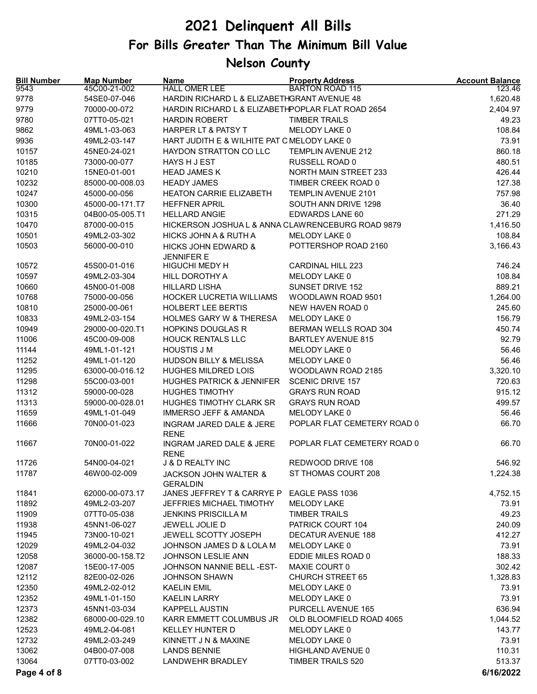| <b>Bill Number</b><br>9543 | <b>Map Number</b><br>45C00-21-002 | Name<br><b>HALL OMER LEE</b>                        | <b>Property Address</b><br><b>BARTON ROAD 115</b> | <b>Account Balance</b><br>123.46 |
|----------------------------|-----------------------------------|-----------------------------------------------------|---------------------------------------------------|----------------------------------|
| 9778                       | 54SE0-07-046                      | HARDIN RICHARD L & ELIZABETHGRANT AVENUE 48         |                                                   | 1,620.48                         |
| 9779                       | 70000-00-072                      | HARDIN RICHARD L & ELIZABETHPOPLAR FLAT ROAD 2654   |                                                   | 2,404.97                         |
| 9780                       | 07TT0-05-021                      | <b>HARDIN ROBERT</b>                                | <b>TIMBER TRAILS</b>                              | 49.23                            |
| 9862                       | 49ML1-03-063                      | HARPER LT & PATSY T                                 | MELODY LAKE 0                                     | 108.84                           |
| 9936                       | 49ML2-03-147                      | HART JUDITH E & WILHITE PAT C MELODY LAKE 0         |                                                   | 73.91                            |
| 10157                      | 45NE0-24-021                      | HAYDON STRATTON CO LLC                              | <b>TEMPLIN AVENUE 212</b>                         | 860.18                           |
| 10185                      | 73000-00-077                      | HAYS H J EST                                        | RUSSELL ROAD 0                                    | 480.51                           |
| 10210                      | 15NE0-01-001                      | <b>HEAD JAMES K</b>                                 | <b>NORTH MAIN STREET 233</b>                      | 426.44                           |
| 10232                      | 85000-00-008.03                   | <b>HEADY JAMES</b>                                  | TIMBER CREEK ROAD 0                               | 127.38                           |
| 10247                      | 45000-00-056                      | HEATON CARRIE ELIZABETH                             | TEMPLIN AVENUE 2101                               | 757.98                           |
| 10300                      | 45000-00-171.T7                   | <b>HEFFNER APRIL</b>                                | SOUTH ANN DRIVE 1298                              | 36.40                            |
| 10315                      | 04B00-05-005.T1                   | <b>HELLARD ANGIE</b>                                | EDWARDS LANE 60                                   | 271.29                           |
| 10470                      | 87000-00-015                      | HICKERSON JOSHUA L & ANNA CLAWRENCEBURG ROAD 9879   |                                                   | 1,416.50                         |
| 10501                      | 49ML2-03-302                      | <b>HICKS JOHN A &amp; RUTH A</b>                    | MELODY LAKE 0                                     | 108.84                           |
| 10503                      | 56000-00-010                      | <b>HICKS JOHN EDWARD &amp;</b><br><b>JENNIFER E</b> | POTTERSHOP ROAD 2160                              | 3,166.43                         |
| 10572                      | 45S00-01-016                      | HIGUCHI MEDY H                                      | <b>CARDINAL HILL 223</b>                          | 746.24                           |
| 10597                      | 49ML2-03-304                      | <b>HILL DOROTHY A</b>                               | MELODY LAKE 0                                     | 108.84                           |
| 10660                      | 45N00-01-008                      | <b>HILLARD LISHA</b>                                | SUNSET DRIVE 152                                  | 889.21                           |
| 10768                      | 75000-00-056                      | <b>HOCKER LUCRETIA WILLIAMS</b>                     | WOODLAWN ROAD 9501                                | 1,264.00                         |
| 10810                      | 25000-00-061                      | <b>HOLBERT LEE BERTIS</b>                           | NEW HAVEN ROAD 0                                  | 245.60                           |
| 10833                      | 49ML2-03-154                      | <b>HOLMES GARY W &amp; THERESA</b>                  | MELODY LAKE 0                                     | 156.79                           |
| 10949                      | 29000-00-020.T1                   | <b>HOPKINS DOUGLAS R</b>                            | BERMAN WELLS ROAD 304                             | 450.74                           |
| 11006                      | 45C00-09-008                      | <b>HOUCK RENTALS LLC</b>                            | <b>BARTLEY AVENUE 815</b>                         | 92.79                            |
| 11144                      | 49ML1-01-121                      | <b>HOUSTIS J M</b>                                  | MELODY LAKE 0                                     | 56.46                            |
| 11252                      | 49ML1-01-120                      | <b>HUDSON BILLY &amp; MELISSA</b>                   | MELODY LAKE 0                                     | 56.46                            |
| 11295                      | 63000-00-016.12                   | <b>HUGHES MILDRED LOIS</b>                          | WOODLAWN ROAD 2185                                | 3,320.10                         |
| 11298                      | 55C00-03-001                      | <b>HUGHES PATRICK &amp; JENNIFER</b>                | <b>SCENIC DRIVE 157</b>                           | 720.63                           |
| 11312                      | 59000-00-028                      | <b>HUGHES TIMOTHY</b>                               | <b>GRAYS RUN ROAD</b>                             | 915.12                           |
| 11313                      | 59000-00-028.01                   | HUGHES TIMOTHY CLARK SR                             | <b>GRAYS RUN ROAD</b>                             | 499.57                           |
| 11659                      | 49ML1-01-049                      | <b>IMMERSO JEFF &amp; AMANDA</b>                    | MELODY LAKE 0                                     | 56.46                            |
| 11666                      | 70N00-01-023                      | <b>INGRAM JARED DALE &amp; JERE</b><br><b>RENE</b>  | POPLAR FLAT CEMETERY ROAD 0                       | 66.70                            |
| 11667                      | 70N00-01-022                      | <b>INGRAM JARED DALE &amp; JERE</b><br><b>RENE</b>  | POPLAR FLAT CEMETERY ROAD 0                       | 66.70                            |
| 11726                      | 54N00-04-021                      | J & D REALTY INC                                    | REDWOOD DRIVE 108                                 | 546.92                           |
| 11787                      | 46W00-02-009                      | <b>JACKSON JOHN WALTER &amp;</b><br><b>GERALDIN</b> | ST THOMAS COURT 208                               | 1,224.38                         |
| 11841                      | 62000-00-073.17                   | JANES JEFFREY T & CARRYE P                          | EAGLE PASS 1036                                   | 4,752.15                         |
| 11892                      | 49ML2-03-207                      | JEFFRIES MICHAEL TIMOTHY                            | <b>MELODY LAKE</b>                                | 73.91                            |
| 11909                      | 07TT0-05-038                      | <b>JENKINS PRISCILLA M</b>                          | <b>TIMBER TRAILS</b>                              | 49.23                            |
| 11938                      | 45NN1-06-027                      | JEWELL JOLIE D                                      | PATRICK COURT 104                                 | 240.09                           |
| 11945                      | 73N00-10-021                      | JEWELL SCOTTY JOSEPH                                | DECATUR AVENUE 188                                | 412.27                           |
| 12029                      | 49ML2-04-032                      | JOHNSON JAMES D & LOLA M                            | MELODY LAKE 0                                     | 73.91                            |
| 12058                      | 36000-00-158.T2                   | JOHNSON LESLIE ANN                                  | EDDIE MILES ROAD 0                                | 188.33                           |
| 12087                      | 15E00-17-005                      | JOHNSON NANNIE BELL-EST-                            | MAXIE COURT 0                                     | 302.42                           |
| 12112                      | 82E00-02-026                      | JOHNSON SHAWN                                       | <b>CHURCH STREET 65</b>                           | 1,328.83                         |
| 12350                      | 49ML2-02-012                      | <b>KAELIN EMIL</b>                                  | MELODY LAKE 0                                     | 73.91                            |
| 12352                      | 49ML1-01-150                      | <b>KAELIN LARRY</b>                                 | MELODY LAKE 0                                     | 73.91                            |
| 12373                      | 45NN1-03-034                      | <b>KAPPELL AUSTIN</b>                               | PURCELL AVENUE 165                                | 636.94                           |
| 12382                      | 68000-00-029.10                   | KARR EMMETT COLUMBUS JR                             | OLD BLOOMFIELD ROAD 4065                          | 1,044.52                         |
| 12523                      | 49ML2-04-081                      | <b>KELLEY HUNTER D</b>                              | MELODY LAKE 0                                     | 143.77                           |
| 12732                      | 49ML2-03-249                      | KINNETT J N & MAXINE                                | MELODY LAKE 0                                     | 73.91                            |
| 13062                      | 04B00-07-008                      | <b>LANDS BENNIE</b>                                 | HIGHLAND AVENUE 0                                 | 110.31                           |
| 13064                      | 07TT0-03-002                      | LANDWEHR BRADLEY                                    | <b>TIMBER TRAILS 520</b>                          | 513.37                           |
| Page 4 of 8                |                                   |                                                     |                                                   | 6/16/2022                        |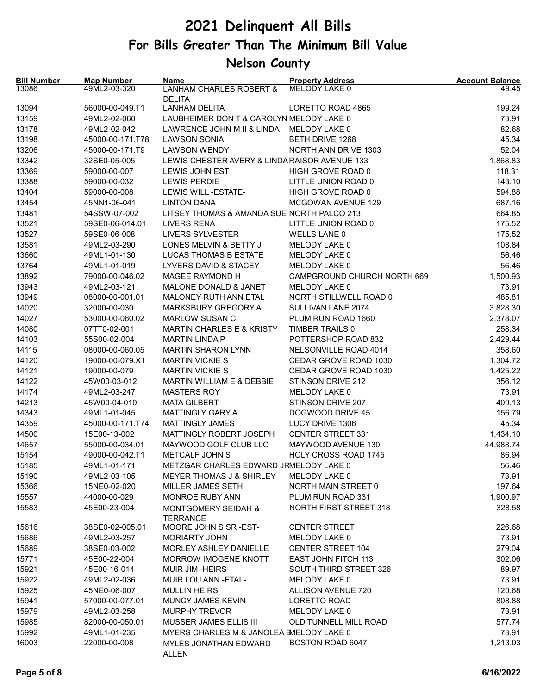| <b>Bill Number</b><br>13086 | <b>Map Number</b><br>49ML2-03-320 | <b>Name</b><br><b>LANHAM CHARLES ROBERT &amp;</b> | <b>Property Address</b><br>MELODY LAKE 0 | <b>Account Balance</b><br>49.45 |
|-----------------------------|-----------------------------------|---------------------------------------------------|------------------------------------------|---------------------------------|
|                             |                                   | <b>DELITA</b>                                     |                                          |                                 |
| 13094                       | 56000-00-049.T1                   | <b>LANHAM DELITA</b>                              | LORETTO ROAD 4865                        | 199.24                          |
| 13159                       | 49ML2-02-060                      | LAUBHEIMER DON T & CAROLYN MELODY LAKE 0          |                                          | 73.91                           |
| 13178                       | 49ML2-02-042                      | LAWRENCE JOHN M II & LINDA                        | MELODY LAKE 0                            | 82.68                           |
| 13198                       | 45000-00-171.T78                  | <b>LAWSON SONIA</b>                               | BETH DRIVE 1268                          | 45.34                           |
| 13206                       | 45000-00-171.T9                   | <b>LAWSON WENDY</b>                               | NORTH ANN DRIVE 1303                     | 52.04                           |
| 13342                       | 32SE0-05-005                      | LEWIS CHESTER AVERY & LINDARAISOR AVENUE 133      |                                          | 1,868.83                        |
| 13369                       | 59000-00-007                      | LEWIS JOHN EST                                    | HIGH GROVE ROAD 0                        | 118.31                          |
| 13388                       | 59000-00-032                      | <b>LEWIS PERDIE</b>                               | LITTLE UNION ROAD 0                      | 143.10                          |
| 13404                       | 59000-00-008                      | LEWIS WILL - ESTATE-                              | HIGH GROVE ROAD 0                        | 594.88                          |
| 13454                       | 45NN1-06-041                      | <b>LINTON DANA</b>                                | <b>MCGOWAN AVENUE 129</b>                | 687.16                          |
| 13481                       | 54SSW-07-002                      | LITSEY THOMAS & AMANDA SUE NORTH PALCO 213        |                                          | 664.85                          |
| 13521                       | 59SE0-06-014.01                   | <b>LIVERS RENA</b>                                | LITTLE UNION ROAD 0                      | 175.52                          |
| 13527                       | 59SE0-06-008                      | <b>LIVERS SYLVESTER</b>                           | <b>WELLS LANE 0</b>                      | 175.52                          |
| 13581                       | 49ML2-03-290                      | LONES MELVIN & BETTY J                            | MELODY LAKE 0                            | 108.84                          |
| 13660                       | 49ML1-01-130                      | LUCAS THOMAS B ESTATE                             | MELODY LAKE 0                            | 56.46                           |
| 13764                       | 49ML1-01-019                      | LYVERS DAVID & STACEY                             | MELODY LAKE 0                            | 56.46                           |
| 13892                       | 79000-00-046.02                   | MAGEE RAYMOND H                                   | CAMPGROUND CHURCH NORTH 669              | 1,500.93                        |
| 13943                       | 49ML2-03-121                      | MALONE DONALD & JANET                             | MELODY LAKE 0                            | 73.91                           |
| 13949                       | 08000-00-001.01                   | MALONEY RUTH ANN ETAL                             | NORTH STILLWELL ROAD 0                   | 485.81                          |
| 14020                       | 32000-00-030                      | MARKSBURY GREGORY A                               | SULLIVAN LANE 2074                       | 3,828.30                        |
|                             | 53000-00-060.02                   | <b>MARLOW SUSAN C</b>                             |                                          |                                 |
| 14027                       |                                   |                                                   | PLUM RUN ROAD 1660                       | 2,378.07                        |
| 14080                       | 07TT0-02-001                      | <b>MARTIN CHARLES E &amp; KRISTY</b>              | TIMBER TRAILS 0                          | 258.34                          |
| 14103                       | 55S00-02-004                      | <b>MARTIN LINDA P</b>                             | POTTERSHOP ROAD 832                      | 2,429.44                        |
| 14115                       | 08000-00-060.05                   | <b>MARTIN SHARON LYNN</b>                         | NELSONVILLE ROAD 4014                    | 358.60                          |
| 14120                       | 19000-00-079.X1                   | <b>MARTIN VICKIE S</b>                            | CEDAR GROVE ROAD 1030                    | 1,304.72                        |
| 14121                       | 19000-00-079                      | <b>MARTIN VICKIE S</b>                            | CEDAR GROVE ROAD 1030                    | 1,425.22                        |
| 14122                       | 45W00-03-012                      | MARTIN WILLIAM E & DEBBIE                         | STINSON DRIVE 212                        | 356.12                          |
| 14174                       | 49ML2-03-247                      | <b>MASTERS ROY</b>                                | MELODY LAKE 0                            | 73.91                           |
| 14213                       | 45W00-04-010                      | <b>MATA GILBERT</b>                               | STINSON DRIVE 207                        | 409.13                          |
| 14343                       | 49ML1-01-045                      | MATTINGLY GARY A                                  | DOGWOOD DRIVE 45                         | 156.79                          |
| 14359                       | 45000-00-171.T74                  | <b>MATTINGLY JAMES</b>                            | LUCY DRIVE 1306                          | 45.34                           |
| 14500                       | 15E00-13-002                      | MATTINGLY ROBERT JOSEPH                           | <b>CENTER STREET 331</b>                 | 1,434.10                        |
| 14657                       | 55000-00-034.01                   | MAYWOOD GOLF CLUB LLC                             | MAYWOOD AVENUE 130                       | 44,988.74                       |
| 15154                       | 49000-00-042.T1                   | METCALF JOHN S                                    | HOLY CROSS ROAD 1745                     | 86.94                           |
| 15185                       | 49ML1-01-171                      | METZGAR CHARLES EDWARD JRMELODY LAKE 0            |                                          | 56.46                           |
| 15190                       | 49ML2-03-105                      | MEYER THOMAS J & SHIRLEY                          | MELODY LAKE 0                            | 73.91                           |
| 15366                       | 15NE0-02-020                      | MILLER JAMES SETH                                 | NORTH MAIN STREET 0                      | 197.64                          |
| 15557                       | 44000-00-029                      | MONROE RUBY ANN                                   | PLUM RUN ROAD 331                        | 1,900.97                        |
| 15583                       | 45E00-23-004                      | <b>MONTGOMERY SEIDAH &amp;</b><br><b>TERRANCE</b> | <b>NORTH FIRST STREET 318</b>            | 328.58                          |
| 15616                       | 38SE0-02-005.01                   | MOORE JOHN S SR-EST-                              | <b>CENTER STREET</b>                     | 226.68                          |
| 15686                       | 49ML2-03-257                      | <b>MORIARTY JOHN</b>                              | MELODY LAKE 0                            | 73.91                           |
| 15689                       | 38SE0-03-002                      | MORLEY ASHLEY DANIELLE                            | <b>CENTER STREET 104</b>                 | 279.04                          |
| 15771                       | 45E00-22-004                      | MORROW IMOGENE KNOTT                              | EAST JOHN FITCH 113                      | 302.06                          |
| 15921                       | 45E00-16-014                      | <b>MUIR JIM-HEIRS-</b>                            | SOUTH THIRD STREET 326                   | 89.97                           |
| 15922                       | 49ML2-02-036                      | MUIR LOU ANN - ETAL-                              | MELODY LAKE 0                            | 73.91                           |
| 15925                       | 45NE0-06-007                      | <b>MULLIN HEIRS</b>                               | ALLISON AVENUE 720                       | 120.68                          |
|                             |                                   |                                                   |                                          |                                 |
| 15941                       | 57000-00-077.01                   | MUNCY JAMES KEVIN                                 | LORETTO ROAD                             | 808.88                          |
| 15979                       | 49ML2-03-258                      | <b>MURPHY TREVOR</b>                              | MELODY LAKE 0                            | 73.91                           |
| 15985                       | 82000-00-050.01                   | MUSSER JAMES ELLIS III                            | OLD TUNNELL MILL ROAD                    | 577.74                          |
| 15992                       | 49ML1-01-235                      | MYERS CHARLES M & JANOLEA BMELODY LAKE 0          |                                          | 73.91                           |
| 16003                       | 22000-00-008                      | MYLES JONATHAN EDWARD<br><b>ALLEN</b>             | BOSTON ROAD 6047                         | 1,213.03                        |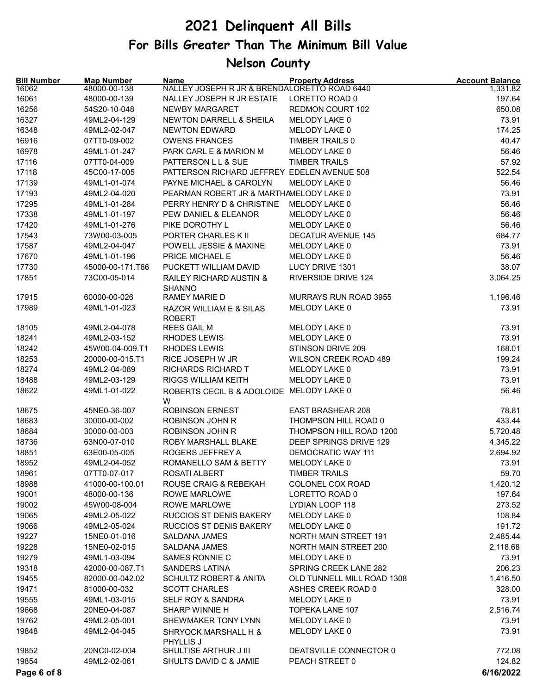| <b>Bill Number</b><br>16062 | <b>Map Number</b><br>48000-00-138 | Name<br>NALLEY JOSEPH R JR & BRENDALORETTO ROAD 6440 | <b>Property Address</b>      | <b>Account Balance</b><br>1,331.82 |
|-----------------------------|-----------------------------------|------------------------------------------------------|------------------------------|------------------------------------|
| 16061                       | 48000-00-139                      | NALLEY JOSEPH R JR ESTATE                            | LORETTO ROAD 0               | 197.64                             |
| 16256                       | 54S20-10-048                      | NEWBY MARGARET                                       | REDMON COURT 102             | 650.08                             |
| 16327                       | 49ML2-04-129                      | <b>NEWTON DARRELL &amp; SHEILA</b>                   | MELODY LAKE 0                | 73.91                              |
| 16348                       | 49ML2-02-047                      | <b>NEWTON EDWARD</b>                                 | MELODY LAKE 0                | 174.25                             |
| 16916                       | 07TT0-09-002                      | <b>OWENS FRANCES</b>                                 | <b>TIMBER TRAILS 0</b>       | 40.47                              |
| 16978                       | 49ML1-01-247                      | PARK CARL E & MARION M                               | MELODY LAKE 0                | 56.46                              |
| 17116                       | 07TT0-04-009                      | PATTERSON LL & SUE                                   | <b>TIMBER TRAILS</b>         | 57.92                              |
| 17118                       | 45C00-17-005                      | PATTERSON RICHARD JEFFREY EDELEN AVENUE 508          |                              | 522.54                             |
| 17139                       | 49ML1-01-074                      | PAYNE MICHAEL & CAROLYN                              | MELODY LAKE 0                | 56.46                              |
| 17193                       | 49ML2-04-020                      | PEARMAN ROBERT JR & MARTHAMELODY LAKE 0              |                              | 73.91                              |
| 17295                       | 49ML1-01-284                      | PERRY HENRY D & CHRISTINE                            | MELODY LAKE 0                | 56.46                              |
| 17338                       | 49ML1-01-197                      | PEW DANIEL & ELEANOR                                 | MELODY LAKE 0                | 56.46                              |
| 17420                       | 49ML1-01-276                      | PIKE DOROTHY L                                       | MELODY LAKE 0                | 56.46                              |
| 17543                       | 73W00-03-005                      | PORTER CHARLES K II                                  | <b>DECATUR AVENUE 145</b>    | 684.77                             |
| 17587                       | 49ML2-04-047                      | POWELL JESSIE & MAXINE                               | MELODY LAKE 0                | 73.91                              |
| 17670                       | 49ML1-01-196                      | PRICE MICHAEL E                                      | MELODY LAKE 0                | 56.46                              |
| 17730                       | 45000-00-171.T66                  | PUCKETT WILLIAM DAVID                                | LUCY DRIVE 1301              | 38.07                              |
| 17851                       | 73C00-05-014                      | <b>RAILEY RICHARD AUSTIN &amp;</b><br><b>SHANNO</b>  | <b>RIVERSIDE DRIVE 124</b>   | 3,064.25                           |
| 17915                       | 60000-00-026                      | RAMEY MARIE D                                        | MURRAYS RUN ROAD 3955        | 1,196.46                           |
| 17989                       | 49ML1-01-023                      | RAZOR WILLIAM E & SILAS<br><b>ROBERT</b>             | MELODY LAKE 0                | 73.91                              |
| 18105                       | 49ML2-04-078                      | <b>REES GAIL M</b>                                   | MELODY LAKE 0                | 73.91                              |
| 18241                       | 49ML2-03-152                      | RHODES LEWIS                                         | MELODY LAKE 0                | 73.91                              |
| 18242                       | 45W00-04-009.T1                   | RHODES LEWIS                                         | STINSON DRIVE 209            | 168.01                             |
| 18253                       | 20000-00-015.T1                   | RICE JOSEPH W JR                                     | WILSON CREEK ROAD 489        | 199.24                             |
| 18274                       | 49ML2-04-089                      | RICHARDS RICHARD T                                   | MELODY LAKE 0                | 73.91                              |
| 18488                       | 49ML2-03-129                      | <b>RIGGS WILLIAM KEITH</b>                           | MELODY LAKE 0                | 73.91                              |
| 18622                       | 49ML1-01-022                      | ROBERTS CECIL B & ADOLOIDE MELODY LAKE 0<br>W        |                              | 56.46                              |
| 18675                       | 45NE0-36-007                      | <b>ROBINSON ERNEST</b>                               | <b>EAST BRASHEAR 208</b>     | 78.81                              |
| 18683                       | 30000-00-002                      | <b>ROBINSON JOHN R</b>                               | THOMPSON HILL ROAD 0         | 433.44                             |
| 18684                       | 30000-00-003                      | ROBINSON JOHN R                                      | THOMPSON HILL ROAD 1200      | 5,720.48                           |
| 18736                       | 63N00-07-010                      | ROBY MARSHALL BLAKE                                  | DEEP SPRINGS DRIVE 129       | 4,345.22                           |
| 18851                       | 63E00-05-005                      | ROGERS JEFFREY A                                     | DEMOCRATIC WAY 111           | 2,694.92                           |
| 18952                       | 49ML2-04-052                      | ROMANELLO SAM & BETTY                                | MELODY LAKE 0                | 73.91                              |
| 18961                       | 07TT0-07-017                      | ROSATI ALBERT                                        | <b>TIMBER TRAILS</b>         | 59.70                              |
| 18988                       | 41000-00-100.01                   | ROUSE CRAIG & REBEKAH                                | COLONEL COX ROAD             | 1,420.12                           |
| 19001                       | 48000-00-136                      | <b>ROWE MARLOWE</b>                                  | LORETTO ROAD 0               | 197.64                             |
| 19002                       | 45W00-08-004                      | ROWE MARLOWE                                         | LYDIAN LOOP 118              | 273.52                             |
| 19065                       | 49ML2-05-022                      | RUCCIOS ST DENIS BAKERY                              | MELODY LAKE 0                | 108.84                             |
| 19066                       | 49ML2-05-024                      | RUCCIOS ST DENIS BAKERY                              | MELODY LAKE 0                | 191.72                             |
| 19227                       | 15NE0-01-016                      | <b>SALDANA JAMES</b>                                 | <b>NORTH MAIN STREET 191</b> | 2,485.44                           |
| 19228                       | 15NE0-02-015                      | SALDANA JAMES                                        | <b>NORTH MAIN STREET 200</b> | 2,118.68                           |
| 19279                       | 49ML1-03-094                      | SAMES RONNIE C                                       | MELODY LAKE 0                | 73.91                              |
| 19318                       | 42000-00-087.T1                   | SANDERS LATINA                                       | SPRING CREEK LANE 282        | 206.23                             |
| 19455                       | 82000-00-042.02                   | <b>SCHULTZ ROBERT &amp; ANITA</b>                    | OLD TUNNELL MILL ROAD 1308   | 1,416.50                           |
| 19471                       | 81000-00-032                      | <b>SCOTT CHARLES</b>                                 | ASHES CREEK ROAD 0           | 328.00                             |
| 19555                       | 49ML1-03-015                      | SELF ROY & SANDRA                                    | MELODY LAKE 0                | 73.91                              |
| 19668                       | 20NE0-04-087                      | SHARP WINNIE H                                       | TOPEKA LANE 107              | 2,516.74                           |
| 19762                       | 49ML2-05-001                      | SHEWMAKER TONY LYNN                                  | MELODY LAKE 0                | 73.91                              |
| 19848                       | 49ML2-04-045                      | SHRYOCK MARSHALL H &                                 | MELODY LAKE 0                | 73.91                              |
| 19852                       | 20NC0-02-004                      | <b>PHYLLIS J</b><br>SHULTISE ARTHUR J III            | DEATSVILLE CONNECTOR 0       | 772.08                             |
| 19854                       | 49ML2-02-061                      | SHULTS DAVID C & JAMIE                               | PEACH STREET 0               | 124.82                             |
| Page 6 of 8                 |                                   |                                                      |                              | 6/16/2022                          |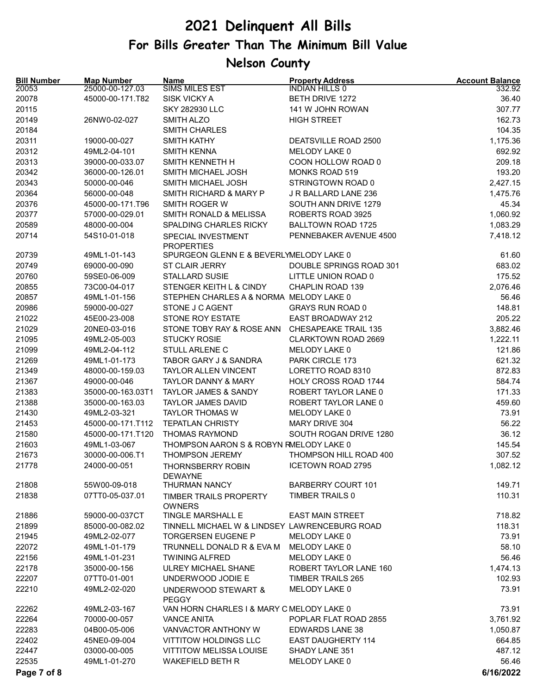| <b>Bill Number</b><br>20053 | <b>Map Number</b><br>25000-00-127.03 | Name<br><b>SIMS MILES EST</b>                  | <b>Property Address</b><br><b>INDIAN HILLS 0</b> | <b>Account Balance</b><br>332.92 |
|-----------------------------|--------------------------------------|------------------------------------------------|--------------------------------------------------|----------------------------------|
| 20078                       | 45000-00-171.T82                     | <b>SISK VICKY A</b>                            | <b>BETH DRIVE 1272</b>                           | 36.40                            |
| 20115                       |                                      | <b>SKY 282930 LLC</b>                          | 141 W JOHN ROWAN                                 | 307.77                           |
| 20149                       | 26NW0-02-027                         | <b>SMITH ALZO</b>                              | <b>HIGH STREET</b>                               | 162.73                           |
| 20184                       |                                      | <b>SMITH CHARLES</b>                           |                                                  | 104.35                           |
| 20311                       | 19000-00-027                         | <b>SMITH KATHY</b>                             | DEATSVILLE ROAD 2500                             | 1,175.36                         |
| 20312                       | 49ML2-04-101                         | <b>SMITH KENNA</b>                             | MELODY LAKE 0                                    | 692.92                           |
| 20313                       | 39000-00-033.07                      | SMITH KENNETH H                                | COON HOLLOW ROAD 0                               | 209.18                           |
| 20342                       | 36000-00-126.01                      | SMITH MICHAEL JOSH                             | <b>MONKS ROAD 519</b>                            | 193.20                           |
| 20343                       | 50000-00-046                         | SMITH MICHAEL JOSH                             | STRINGTOWN ROAD 0                                | 2,427.15                         |
| 20364                       | 56000-00-048                         | SMITH RICHARD & MARY P                         | J R BALLARD LANE 236                             | 1,475.76                         |
| 20376                       | 45000-00-171.T96                     | SMITH ROGER W                                  | SOUTH ANN DRIVE 1279                             | 45.34                            |
| 20377                       | 57000-00-029.01                      | SMITH RONALD & MELISSA                         | ROBERTS ROAD 3925                                | 1,060.92                         |
| 20589                       | 48000-00-004                         | SPALDING CHARLES RICKY                         | <b>BALLTOWN ROAD 1725</b>                        | 1,083.29                         |
| 20714                       | 54S10-01-018                         | SPECIAL INVESTMENT<br><b>PROPERTIES</b>        | PENNEBAKER AVENUE 4500                           | 7,418.12                         |
| 20739                       | 49ML1-01-143                         | SPURGEON GLENN E & BEVERLYMELODY LAKE 0        |                                                  | 61.60                            |
| 20749                       | 69000-00-090                         | ST CLAIR JERRY                                 | DOUBLE SPRINGS ROAD 301                          | 683.02                           |
| 20760                       | 59SE0-06-009                         | <b>STALLARD SUSIE</b>                          | LITTLE UNION ROAD 0                              | 175.52                           |
| 20855                       | 73C00-04-017                         | STENGER KEITH L & CINDY                        | CHAPLIN ROAD 139                                 | 2,076.46                         |
| 20857                       | 49ML1-01-156                         | STEPHEN CHARLES A & NORMA MELODY LAKE 0        |                                                  | 56.46                            |
| 20986                       | 59000-00-027                         | STONE J C AGENT                                | <b>GRAYS RUN ROAD 0</b>                          | 148.81                           |
| 21022                       | 45E00-23-008                         | STONE ROY ESTATE                               | EAST BROADWAY 212                                | 205.22                           |
| 21029                       | 20NE0-03-016                         | STONE TOBY RAY & ROSE ANN                      | <b>CHESAPEAKE TRAIL 135</b>                      | 3,882.46                         |
| 21095                       | 49ML2-05-003                         | <b>STUCKY ROSIE</b>                            | CLARKTOWN ROAD 2669                              | 1,222.11                         |
| 21099                       | 49ML2-04-112                         | STULL ARLENE C                                 | MELODY LAKE 0                                    | 121.86                           |
| 21269                       | 49ML1-01-173                         | TABOR GARY J & SANDRA                          | PARK CIRCLE 173                                  | 621.32                           |
| 21349                       | 48000-00-159.03                      | <b>TAYLOR ALLEN VINCENT</b>                    | LORETTO ROAD 8310                                | 872.83                           |
| 21367                       | 49000-00-046                         | <b>TAYLOR DANNY &amp; MARY</b>                 | HOLY CROSS ROAD 1744                             | 584.74                           |
| 21383                       | 35000-00-163.03T1                    | TAYLOR JAMES & SANDY                           | ROBERT TAYLOR LANE 0                             | 171.33                           |
| 21388                       | 35000-00-163.03                      | <b>TAYLOR JAMES DAVID</b>                      | ROBERT TAYLOR LANE 0                             | 459.60                           |
| 21430                       | 49ML2-03-321                         | <b>TAYLOR THOMAS W</b>                         | MELODY LAKE 0                                    | 73.91                            |
| 21453                       | 45000-00-171.T112                    | <b>TEPATLAN CHRISTY</b>                        | MARY DRIVE 304                                   | 56.22                            |
| 21580                       | 45000-00-171.T120                    | <b>THOMAS RAYMOND</b>                          | SOUTH ROGAN DRIVE 1280                           | 36.12                            |
| 21603                       | 49ML1-03-067                         | THOMPSON AARON S & ROBYN RMELODY LAKE 0        |                                                  | 145.54                           |
| 21673                       | 30000-00-006.T1                      | <b>THOMPSON JEREMY</b>                         | THOMPSON HILL ROAD 400                           | 307.52                           |
| 21778                       | 24000-00-051                         | THORNSBERRY ROBIN<br><b>DEWAYNE</b>            | <b>ICETOWN ROAD 2795</b>                         | 1,082.12                         |
| 21808                       | 55W00-09-018                         | THURMAN NANCY                                  | <b>BARBERRY COURT 101</b>                        | 149.71                           |
| 21838                       | 07TT0-05-037.01                      | <b>TIMBER TRAILS PROPERTY</b><br><b>OWNERS</b> | TIMBER TRAILS 0                                  | 110.31                           |
| 21886                       | 59000-00-037CT                       | TINGLE MARSHALL E                              | <b>EAST MAIN STREET</b>                          | 718.82                           |
| 21899                       | 85000-00-082.02                      | TINNELL MICHAEL W & LINDSEY LAWRENCEBURG ROAD  |                                                  | 118.31                           |
| 21945                       | 49ML2-02-077                         | TORGERSEN EUGENE P                             | MELODY LAKE 0                                    | 73.91                            |
| 22072                       | 49ML1-01-179                         | TRUNNELL DONALD R & EVA M                      | MELODY LAKE 0                                    | 58.10                            |
| 22156                       | 49ML1-01-231                         | <b>TWINING ALFRED</b>                          | MELODY LAKE 0                                    | 56.46                            |
| 22178                       | 35000-00-156                         | <b>ULREY MICHAEL SHANE</b>                     | ROBERT TAYLOR LANE 160                           | 1,474.13                         |
| 22207                       | 07TT0-01-001                         | UNDERWOOD JODIE E                              | <b>TIMBER TRAILS 265</b>                         | 102.93                           |
| 22210                       | 49ML2-02-020                         | UNDERWOOD STEWART &<br><b>PEGGY</b>            | MELODY LAKE 0                                    | 73.91                            |
| 22262                       | 49ML2-03-167                         | VAN HORN CHARLES I & MARY C MELODY LAKE 0      |                                                  | 73.91                            |
| 22264                       | 70000-00-057                         | <b>VANCE ANITA</b>                             | POPLAR FLAT ROAD 2855                            | 3,761.92                         |
| 22283                       | 04B00-05-006                         | VANVACTOR ANTHONY W                            | <b>EDWARDS LANE 38</b>                           | 1,050.87                         |
| 22402                       | 45NE0-09-004                         | <b>VITTITOW HOLDINGS LLC</b>                   | <b>EAST DAUGHERTY 114</b>                        | 664.85                           |
| 22447                       | 03000-00-005                         | <b>VITTITOW MELISSA LOUISE</b>                 | SHADY LANE 351                                   | 487.12                           |
| 22535                       | 49ML1-01-270                         | <b>WAKEFIELD BETH R</b>                        | MELODY LAKE 0                                    | 56.46                            |
| Page 7 of 8                 |                                      |                                                |                                                  | 6/16/2022                        |